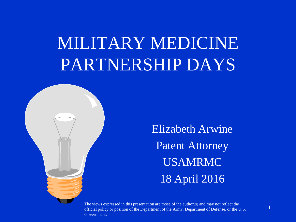## MILITARY MEDICINE PARTNERSHIP DAYS



Elizabeth Arwine Patent Attorney USAMRMC 18 April 2016

The views expressed in this presentation are those of the author(s) and may not reflect the official policy or position of the Department of the Army, Department of Defense, or the U.S. Government.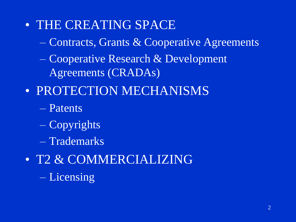- THE CREATING SPACE
	- Contracts, Grants & Cooperative Agreements
	- Cooperative Research & Development Agreements (CRADAs)
- PROTECTION MECHANISMS
	- Patents
	- Copyrights
	- Trademarks
- T2 & COMMERCIALIZING – Licensing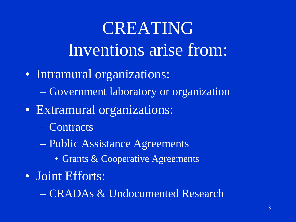# CREATING Inventions arise from:

- Intramural organizations:
	- Government laboratory or organization
- Extramural organizations:
	- Contracts
	- Public Assistance Agreements
		- Grants & Cooperative Agreements
- Joint Efforts:

– CRADAs & Undocumented Research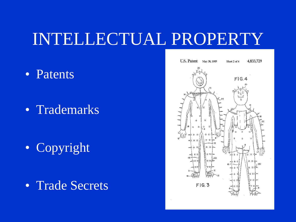#### INTELLECTUAL PROPERTY

• Patents

• Trademarks

• Copyright

• Trade Secrets



4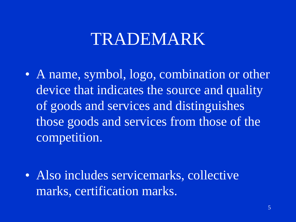#### TRADEMARK

• A name, symbol, logo, combination or other device that indicates the source and quality of goods and services and distinguishes those goods and services from those of the competition.

• Also includes servicemarks, collective marks, certification marks.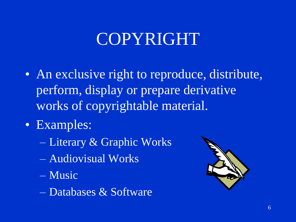### COPYRIGHT

- An exclusive right to reproduce, distribute, perform, display or prepare derivative works of copyrightable material.
- Examples:
	- Literary & Graphic Works
	- Audiovisual Works
	- Music
	- Databases & Software

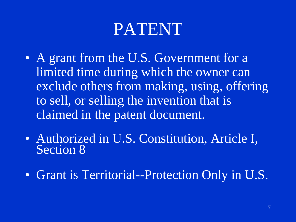### PATENT

- A grant from the U.S. Government for a limited time during which the owner can exclude others from making, using, offering to sell, or selling the invention that is claimed in the patent document.
- Authorized in U.S. Constitution, Article I, Section 8
- Grant is Territorial--Protection Only in U.S.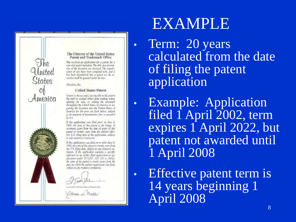

#### EXAMPLE

• Term: 20 years calculated from the date of filing the patent application

**Example: Application** filed 1 April 2002, term expires 1 April 2022, but patent not awarded until 1 April 2008

Effective patent term is 14 years beginning 1 April 2008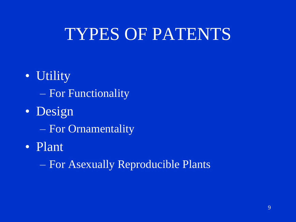#### TYPES OF PATENTS

- Utility – For Functionality
- Design
	- For Ornamentality
- Plant
	- For Asexually Reproducible Plants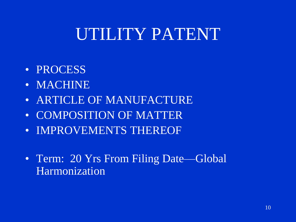#### UTILITY PATENT

- PROCESS
- MACHINE
- ARTICLE OF MANUFACTURE
- COMPOSITION OF MATTER
- IMPROVEMENTS THEREOF
- Term: 20 Yrs From Filing Date—Global Harmonization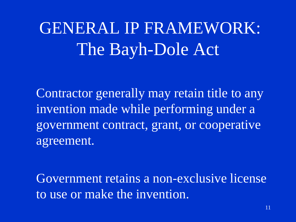### GENERAL IP FRAMEWORK: The Bayh-Dole Act

Contractor generally may retain title to any invention made while performing under a government contract, grant, or cooperative agreement.

Government retains a non-exclusive license to use or make the invention.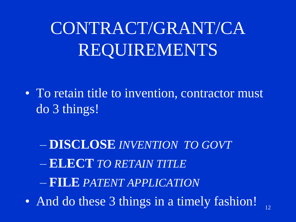# CONTRACT/GRANT/CA REQUIREMENTS

- To retain title to invention, contractor must do 3 things!
	- **DISCLOSE** *INVENTION TO GOVT* – **ELECT** *TO RETAIN TITLE* – **FILE** *PATENT APPLICATION*
- And do these 3 things in a timely fashion!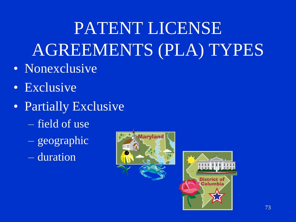# PATENT LICENSE AGREEMENTS (PLA) TYPES

- Nonexclusive
- Exclusive
- Partially Exclusive
	- field of use
	- geographic
	- duration



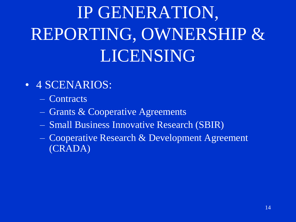# IP GENERATION, REPORTING, OWNERSHIP & LICENSING

- 4 SCENARIOS:
	- Contracts
	- Grants & Cooperative Agreements
	- Small Business Innovative Research (SBIR)
	- Cooperative Research & Development Agreement (CRADA)